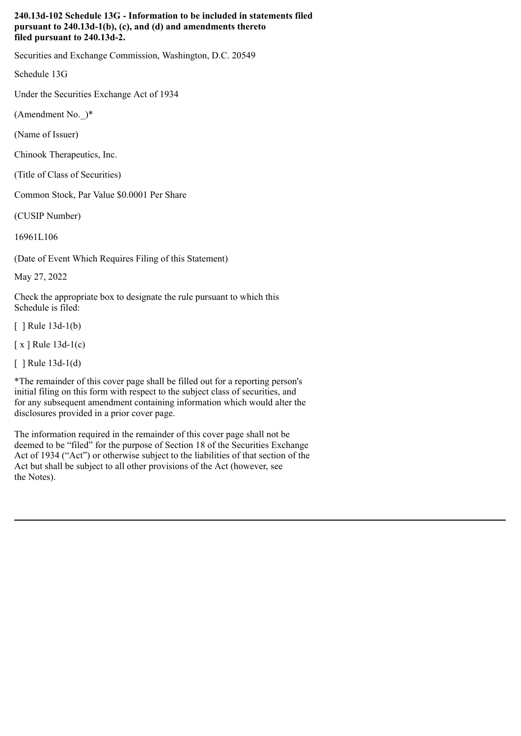## **240.13d-102 Schedule 13G - Information to be included in statements filed pursuant to 240.13d-1(b), (c), and (d) and amendments thereto filed pursuant to 240.13d-2.**

Securities and Exchange Commission, Washington, D.C. 20549

Schedule 13G

Under the Securities Exchange Act of 1934

(Amendment No.\_)\*

(Name of Issuer)

Chinook Therapeutics, Inc.

(Title of Class of Securities)

Common Stock, Par Value \$0.0001 Per Share

(CUSIP Number)

16961L106

(Date of Event Which Requires Filing of this Statement)

May 27, 2022

Check the appropriate box to designate the rule pursuant to which this Schedule is filed:

 $\lceil$  | Rule 13d-1(b)

[ x ] Rule 13d-1(c)

[ ] Rule 13d-1(d)

\*The remainder of this cover page shall be filled out for a reporting person's initial filing on this form with respect to the subject class of securities, and for any subsequent amendment containing information which would alter the disclosures provided in a prior cover page.

The information required in the remainder of this cover page shall not be deemed to be "filed" for the purpose of Section 18 of the Securities Exchange Act of 1934 ("Act") or otherwise subject to the liabilities of that section of the Act but shall be subject to all other provisions of the Act (however, see the Notes).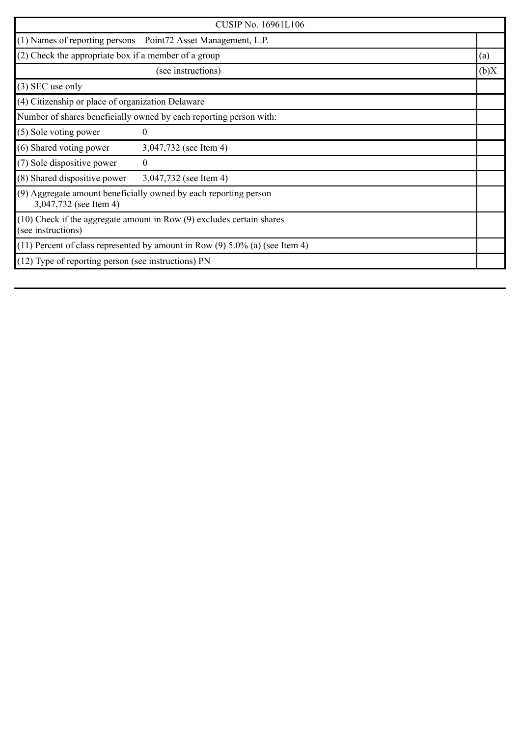|                                                      | <b>CUSIP No. 16961L106</b>                                                       |      |
|------------------------------------------------------|----------------------------------------------------------------------------------|------|
| (1) Names of reporting persons                       | Point72 Asset Management, L.P.                                                   |      |
| (2) Check the appropriate box if a member of a group |                                                                                  | (a)  |
|                                                      | (see instructions)                                                               | (b)X |
| $(3)$ SEC use only                                   |                                                                                  |      |
| (4) Citizenship or place of organization Delaware    |                                                                                  |      |
|                                                      | Number of shares beneficially owned by each reporting person with:               |      |
| (5) Sole voting power                                | $\theta$                                                                         |      |
| (6) Shared voting power                              | 3,047,732 (see Item 4)                                                           |      |
| (7) Sole dispositive power                           | $\mathbf{0}$                                                                     |      |
| (8) Shared dispositive power                         | 3,047,732 (see Item 4)                                                           |      |
| 3,047,732 (see Item 4)                               | (9) Aggregate amount beneficially owned by each reporting person                 |      |
| (see instructions)                                   | (10) Check if the aggregate amount in Row (9) excludes certain shares            |      |
|                                                      | $(11)$ Percent of class represented by amount in Row $(9)$ 5.0% (a) (see Item 4) |      |
| (12) Type of reporting person (see instructions) PN  |                                                                                  |      |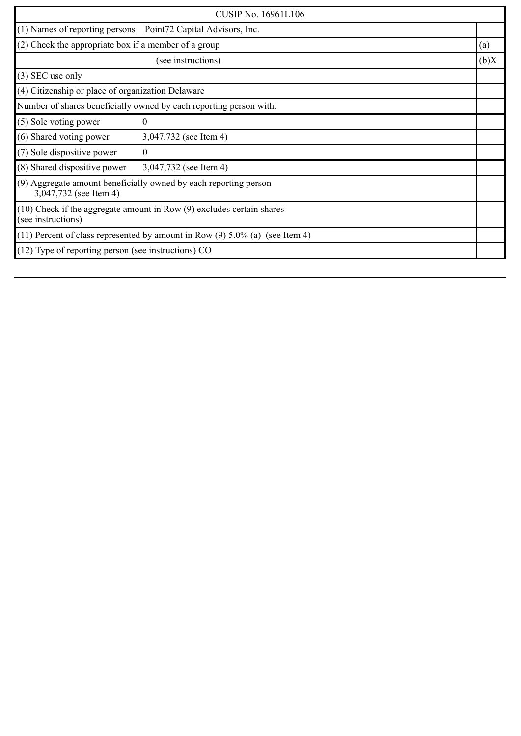| <b>CUSIP No. 16961L106</b>                                                                 |                                                                           |  |      |
|--------------------------------------------------------------------------------------------|---------------------------------------------------------------------------|--|------|
|                                                                                            | (1) Names of reporting persons Point72 Capital Advisors, Inc.             |  |      |
|                                                                                            | (2) Check the appropriate box if a member of a group                      |  | (a)  |
|                                                                                            | (see instructions)                                                        |  | (b)X |
| $(3)$ SEC use only                                                                         |                                                                           |  |      |
| (4) Citizenship or place of organization Delaware                                          |                                                                           |  |      |
| Number of shares beneficially owned by each reporting person with:                         |                                                                           |  |      |
| (5) Sole voting power                                                                      | 0                                                                         |  |      |
| (6) Shared voting power                                                                    | 3,047,732 (see Item 4)                                                    |  |      |
| (7) Sole dispositive power                                                                 | $\theta$                                                                  |  |      |
| (8) Shared dispositive power                                                               | 3,047,732 (see Item 4)                                                    |  |      |
| (9) Aggregate amount beneficially owned by each reporting person<br>3,047,732 (see Item 4) |                                                                           |  |      |
| (see instructions)                                                                         | $(10)$ Check if the aggregate amount in Row $(9)$ excludes certain shares |  |      |
| $(11)$ Percent of class represented by amount in Row $(9)$ 5.0% (a) (see Item 4)           |                                                                           |  |      |
| (12) Type of reporting person (see instructions) CO                                        |                                                                           |  |      |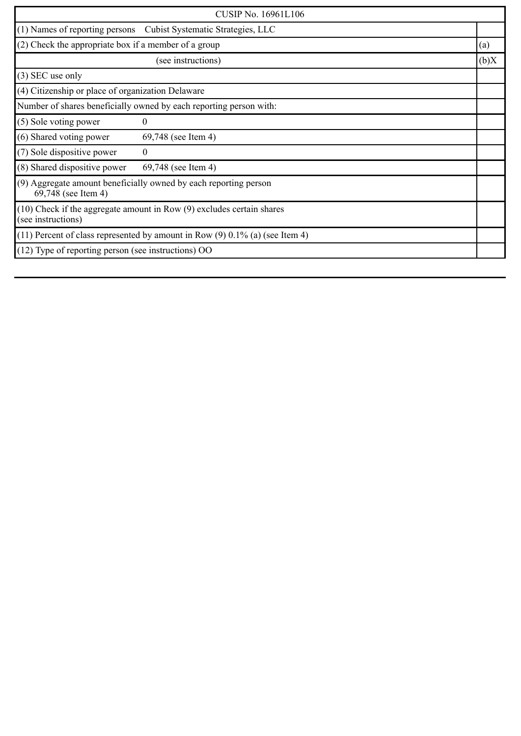| <b>CUSIP No. 16961L106</b>                                         |                                                                                  |  |      |
|--------------------------------------------------------------------|----------------------------------------------------------------------------------|--|------|
|                                                                    | (1) Names of reporting persons Cubist Systematic Strategies, LLC                 |  |      |
|                                                                    | (2) Check the appropriate box if a member of a group                             |  | (a)  |
|                                                                    | (see instructions)                                                               |  | (b)X |
| $(3)$ SEC use only                                                 |                                                                                  |  |      |
| (4) Citizenship or place of organization Delaware                  |                                                                                  |  |      |
| Number of shares beneficially owned by each reporting person with: |                                                                                  |  |      |
| (5) Sole voting power                                              | 0                                                                                |  |      |
| (6) Shared voting power                                            | 69,748 (see Item 4)                                                              |  |      |
| (7) Sole dispositive power                                         | $\theta$                                                                         |  |      |
| (8) Shared dispositive power                                       | 69,748 (see Item 4)                                                              |  |      |
| 69,748 (see Item 4)                                                | (9) Aggregate amount beneficially owned by each reporting person                 |  |      |
| (see instructions)                                                 | $(10)$ Check if the aggregate amount in Row $(9)$ excludes certain shares        |  |      |
|                                                                    | $(11)$ Percent of class represented by amount in Row $(9)$ 0.1% (a) (see Item 4) |  |      |
| $(12)$ Type of reporting person (see instructions) OO              |                                                                                  |  |      |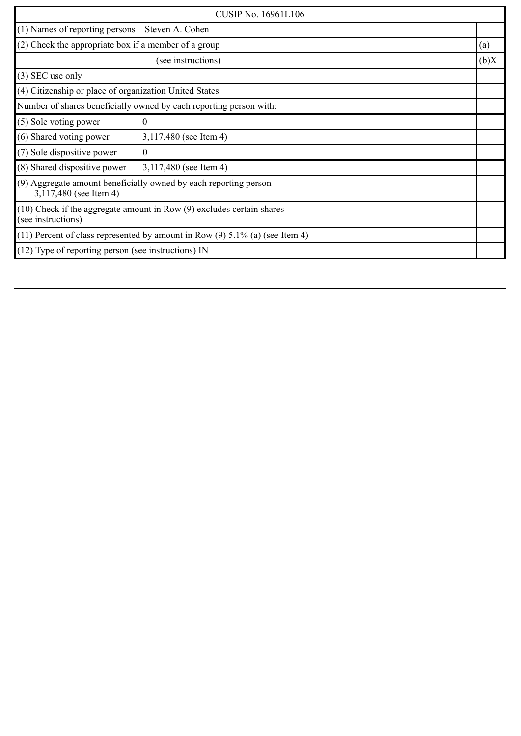| <b>CUSIP No. 16961L106</b>                                                                  |                        |      |
|---------------------------------------------------------------------------------------------|------------------------|------|
| (1) Names of reporting persons                                                              | Steven A. Cohen        |      |
| (2) Check the appropriate box if a member of a group                                        |                        | (a)  |
|                                                                                             | (see instructions)     | (b)X |
| $(3)$ SEC use only                                                                          |                        |      |
| (4) Citizenship or place of organization United States                                      |                        |      |
| Number of shares beneficially owned by each reporting person with:                          |                        |      |
| (5) Sole voting power                                                                       | $\boldsymbol{0}$       |      |
| (6) Shared voting power                                                                     | 3,117,480 (see Item 4) |      |
| (7) Sole dispositive power                                                                  | $\boldsymbol{0}$       |      |
| (8) Shared dispositive power                                                                | 3,117,480 (see Item 4) |      |
| (9) Aggregate amount beneficially owned by each reporting person<br>3,117,480 (see Item 4)  |                        |      |
| (10) Check if the aggregate amount in Row (9) excludes certain shares<br>(see instructions) |                        |      |
| $(11)$ Percent of class represented by amount in Row $(9)$ 5.1% (a) (see Item 4)            |                        |      |
| (12) Type of reporting person (see instructions) IN                                         |                        |      |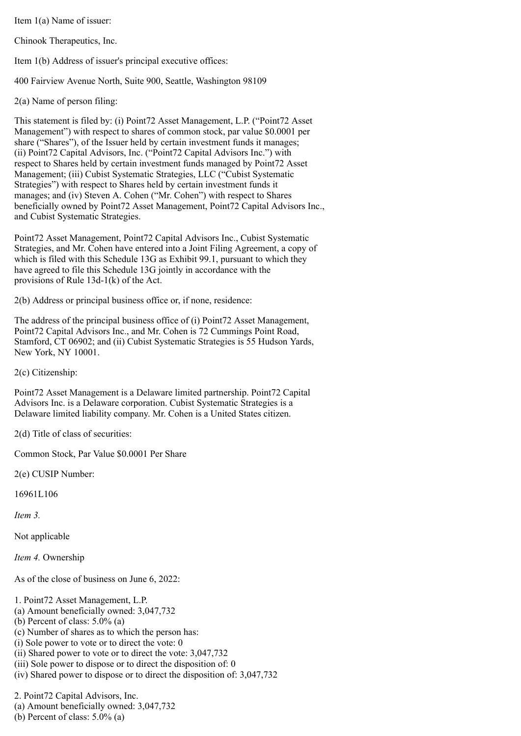Item 1(a) Name of issuer:

Chinook Therapeutics, Inc.

Item 1(b) Address of issuer's principal executive offices:

400 Fairview Avenue North, Suite 900, Seattle, Washington 98109

2(a) Name of person filing:

This statement is filed by: (i) Point72 Asset Management, L.P. ("Point72 Asset Management") with respect to shares of common stock, par value \$0.0001 per share ("Shares"), of the Issuer held by certain investment funds it manages; (ii) Point72 Capital Advisors, Inc. ("Point72 Capital Advisors Inc.") with respect to Shares held by certain investment funds managed by Point72 Asset Management; (iii) Cubist Systematic Strategies, LLC ("Cubist Systematic Strategies") with respect to Shares held by certain investment funds it manages; and (iv) Steven A. Cohen ("Mr. Cohen") with respect to Shares beneficially owned by Point72 Asset Management, Point72 Capital Advisors Inc., and Cubist Systematic Strategies.

Point72 Asset Management, Point72 Capital Advisors Inc., Cubist Systematic Strategies, and Mr. Cohen have entered into a Joint Filing Agreement, a copy of which is filed with this Schedule 13G as Exhibit 99.1, pursuant to which they have agreed to file this Schedule 13G jointly in accordance with the provisions of Rule 13d-1(k) of the Act.

2(b) Address or principal business office or, if none, residence:

The address of the principal business office of (i) Point72 Asset Management, Point72 Capital Advisors Inc., and Mr. Cohen is 72 Cummings Point Road, Stamford, CT 06902; and (ii) Cubist Systematic Strategies is 55 Hudson Yards, New York, NY 10001.

2(c) Citizenship:

Point72 Asset Management is a Delaware limited partnership. Point72 Capital Advisors Inc. is a Delaware corporation. Cubist Systematic Strategies is a Delaware limited liability company. Mr. Cohen is a United States citizen.

2(d) Title of class of securities:

Common Stock, Par Value \$0.0001 Per Share

2(e) CUSIP Number:

16961L106

*Item 3.*

Not applicable

*Item 4.* Ownership

As of the close of business on June 6, 2022:

1. Point72 Asset Management, L.P.

(a) Amount beneficially owned: 3,047,732

(b) Percent of class: 5.0% (a)

(c) Number of shares as to which the person has:

(i) Sole power to vote or to direct the vote: 0

(ii) Shared power to vote or to direct the vote: 3,047,732

(iii) Sole power to dispose or to direct the disposition of: 0

(iv) Shared power to dispose or to direct the disposition of: 3,047,732

2. Point72 Capital Advisors, Inc.

(a) Amount beneficially owned: 3,047,732

(b) Percent of class: 5.0% (a)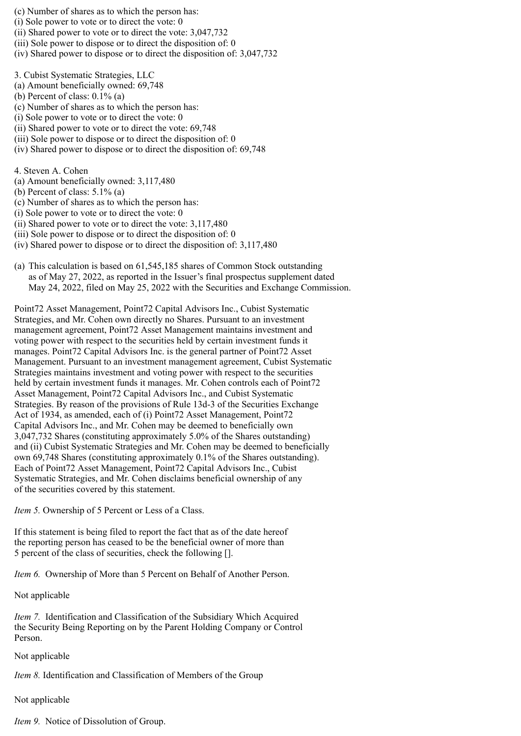(c) Number of shares as to which the person has:

- (i) Sole power to vote or to direct the vote: 0
- (ii) Shared power to vote or to direct the vote: 3,047,732
- (iii) Sole power to dispose or to direct the disposition of: 0
- (iv) Shared power to dispose or to direct the disposition of: 3,047,732
- 3. Cubist Systematic Strategies, LLC
- (a) Amount beneficially owned: 69,748
- (b) Percent of class:  $0.1\%$  (a)
- (c) Number of shares as to which the person has:
- (i) Sole power to vote or to direct the vote: 0
- (ii) Shared power to vote or to direct the vote: 69,748
- (iii) Sole power to dispose or to direct the disposition of: 0
- (iv) Shared power to dispose or to direct the disposition of: 69,748

4. Steven A. Cohen

- (a) Amount beneficially owned: 3,117,480
- (b) Percent of class: 5.1% (a)
- (c) Number of shares as to which the person has:
- (i) Sole power to vote or to direct the vote: 0
- (ii) Shared power to vote or to direct the vote: 3,117,480
- (iii) Sole power to dispose or to direct the disposition of: 0
- (iv) Shared power to dispose or to direct the disposition of: 3,117,480
- (a) This calculation is based on 61,545,185 shares of Common Stock outstanding as of May 27, 2022, as reported in the Issuer's final prospectus supplement dated May 24, 2022, filed on May 25, 2022 with the Securities and Exchange Commission.

Point72 Asset Management, Point72 Capital Advisors Inc., Cubist Systematic Strategies, and Mr. Cohen own directly no Shares. Pursuant to an investment management agreement, Point72 Asset Management maintains investment and voting power with respect to the securities held by certain investment funds it manages. Point72 Capital Advisors Inc. is the general partner of Point72 Asset Management. Pursuant to an investment management agreement, Cubist Systematic Strategies maintains investment and voting power with respect to the securities held by certain investment funds it manages. Mr. Cohen controls each of Point72 Asset Management, Point72 Capital Advisors Inc., and Cubist Systematic Strategies. By reason of the provisions of Rule 13d-3 of the Securities Exchange Act of 1934, as amended, each of (i) Point72 Asset Management, Point72 Capital Advisors Inc., and Mr. Cohen may be deemed to beneficially own 3,047,732 Shares (constituting approximately 5.0% of the Shares outstanding) and (ii) Cubist Systematic Strategies and Mr. Cohen may be deemed to beneficially own 69,748 Shares (constituting approximately 0.1% of the Shares outstanding). Each of Point72 Asset Management, Point72 Capital Advisors Inc., Cubist Systematic Strategies, and Mr. Cohen disclaims beneficial ownership of any of the securities covered by this statement.

*Item 5.* Ownership of 5 Percent or Less of a Class.

If this statement is being filed to report the fact that as of the date hereof the reporting person has ceased to be the beneficial owner of more than 5 percent of the class of securities, check the following [].

*Item 6.* Ownership of More than 5 Percent on Behalf of Another Person.

Not applicable

*Item 7.* Identification and Classification of the Subsidiary Which Acquired the Security Being Reporting on by the Parent Holding Company or Control Person.

## Not applicable

*Item 8.* Identification and Classification of Members of the Group

Not applicable

*Item 9.* Notice of Dissolution of Group.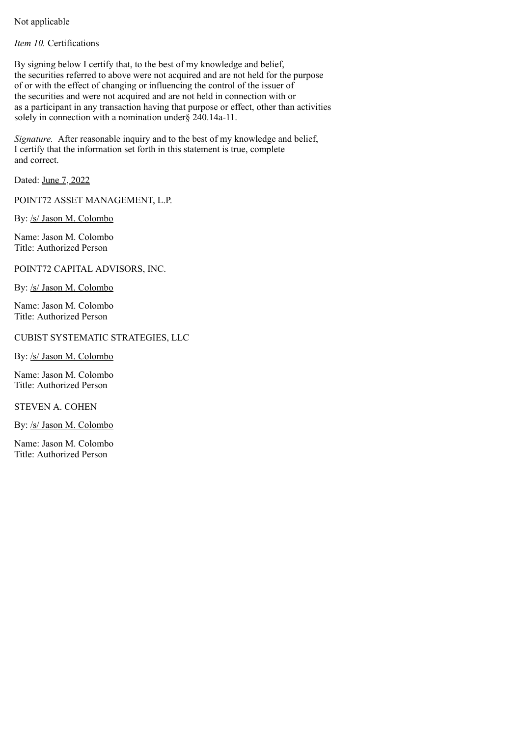Not applicable

*Item 10.* Certifications

By signing below I certify that, to the best of my knowledge and belief, the securities referred to above were not acquired and are not held for the purpose of or with the effect of changing or influencing the control of the issuer of the securities and were not acquired and are not held in connection with or as a participant in any transaction having that purpose or effect, other than activities solely in connection with a nomination under § 240.14a-11.

*Signature.* After reasonable inquiry and to the best of my knowledge and belief, I certify that the information set forth in this statement is true, complete and correct.

Dated: June 7, 2022

POINT72 ASSET MANAGEMENT, L.P.

By: /s/ Jason M. Colombo

Name: Jason M. Colombo Title: Authorized Person

POINT72 CAPITAL ADVISORS, INC.

By: /s/ Jason M. Colombo

Name: Jason M. Colombo Title: Authorized Person

CUBIST SYSTEMATIC STRATEGIES, LLC

By: /s/ Jason M. Colombo

Name: Jason M. Colombo Title: Authorized Person

STEVEN A. COHEN

By: /s/ Jason M. Colombo

Name: Jason M. Colombo Title: Authorized Person